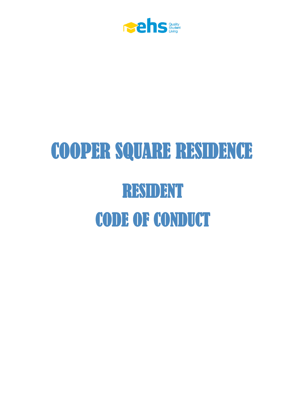

# COOPER SQUARE RESIDENCE RESIDENT CODE OF CONDUCT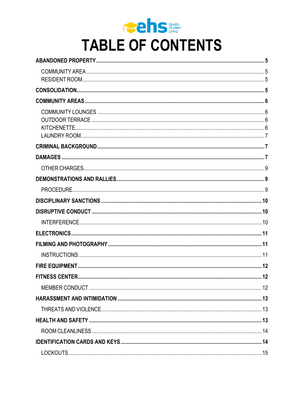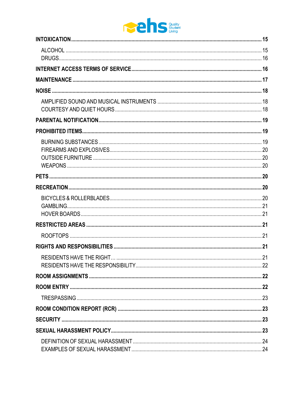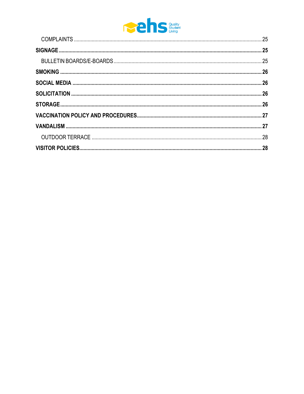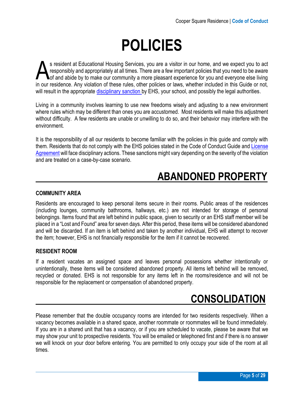## **POLICIES**

s resident at Educational Housing Services, you are a visitor in our home, and we expect you to act responsibly and appropriately at all times. There are a few important policies that you need to be aware of and abide by to make our community a more pleasant experience for you and everyone else living **in the set of and abide by to make our community a more pleasant experience for you and everyone else living** in our residence. Any violation of these rules, other policies or laws, whether included in this Guide or not, will result in the appropriate [disciplinary sanction](#page-9-3) by EHS, your school, and possibly the legal authorities.

Living in a community involves learning to use new freedoms wisely and adjusting to a new environment where rules which may be different than ones you are accustomed. Most residents will make this adjustment without difficulty. A few residents are unable or unwilling to do so, and their behavior may interfere with the environment.

<span id="page-4-4"></span>It is the responsibility of all our residents to become familiar with the policies in this guide and comply with them. Residents that do not comply with the EHS policies stated in the Code of Conduct Guide and [License](https://assets.ctfassets.net/vne2flhojsyj/5A0C1jXU6al1WHT3nINDj2/13393d9ddfbed55bab832e9ee4663ff3/Official_Cooper_Square.pdf)  [Agreement](https://assets.ctfassets.net/vne2flhojsyj/5A0C1jXU6al1WHT3nINDj2/13393d9ddfbed55bab832e9ee4663ff3/Official_Cooper_Square.pdf) will face disciplinary actions. These sanctions might vary depending on the severity of the violation and are treated on a case-by-case scenario.

### <span id="page-4-0"></span> **ABANDONED PROPERTY**

#### <span id="page-4-1"></span>**COMMUNITY AREA**

Residents are encouraged to keep personal items secure in their rooms. Public areas of the residences (including lounges, community bathrooms, hallways, etc.) are not intended for storage of personal belongings. Items found that are left behind in public space, given to security or an EHS staff member will be placed in a "Lost and Found" area for seven days. After this period, these items will be considered abandoned and will be discarded. If an item is left behind and taken by another individual, EHS will attempt to recover the item; however, EHS is not financially responsible for the item if it cannot be recovered.

#### <span id="page-4-2"></span>**RESIDENT ROOM**

If a resident vacates an assigned space and leaves personal possessions whether intentionally or unintentionally, these items will be considered abandoned property. All items left behind will be removed, recycled or donated. EHS is not responsible for any items left in the rooms/residence and will not be responsible for the replacement or compensation of abandoned property.

### <span id="page-4-3"></span> **CONSOLIDATION**

Please remember that the double occupancy rooms are intended for two residents respectively. When a vacancy becomes available in a shared space, another roommate or roommates will be found immediately. If you are in a shared unit that has a vacancy, or if you are scheduled to vacate, please be aware that we may show your unit to prospective residents. You will be emailed or telephoned first and if there is no answer we will knock on your door before entering. You are permitted to only occupy your side of the room at all times.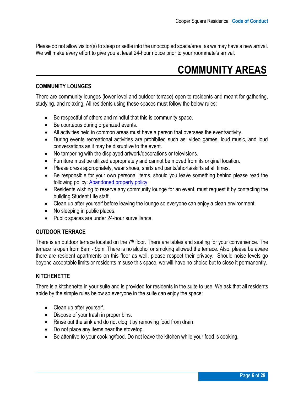Please do not allow visitor(s) to sleep or settle into the unoccupied space/area, as we may have a new arrival. We will make every effort to give you at least 24-hour notice prior to your roommate's arrival.

### <span id="page-5-0"></span> **COMMUNITY AREAS**

#### <span id="page-5-1"></span>**COMMUNITY LOUNGES**

There are community lounges (lower level and outdoor terrace) open to residents and meant for gathering, studying, and relaxing. All residents using these spaces must follow the below rules:

- Be respectful of others and mindful that this is community space.
- Be courteous during organized events.
- All activities held in common areas must have a person that oversees the event/activity.
- During events recreational activities are prohibited such as: video games, loud music, and loud conversations as it may be disruptive to the event.
- No tampering with the displayed artwork/decorations or televisions.
- Furniture must be utilized appropriately and cannot be moved from its original location.
- Please dress appropriately, wear shoes, shirts and pants/shorts/skirts at all times.
- Be responsible for your own personal items, should you leave something behind please read the following policy: [Abandoned property policy](#page-4-4)
- Residents wishing to reserve any community lounge for an event, must request it by contacting the building Student Life staff.
- Clean up after yourself before leaving the lounge so everyone can enjoy a clean environment.
- No sleeping in public places.
- Public spaces are under 24-hour surveillance.

#### <span id="page-5-2"></span>**OUTDOOR TERRACE**

There is an outdoor terrace located on the  $7<sup>th</sup>$  floor. There are tables and seating for your convenience. The terrace is open from 8am - 9pm. There is no alcohol or smoking allowed the terrace. Also, please be aware there are resident apartments on this floor as well, please respect their privacy. Should noise levels go beyond acceptable limits or residents misuse this space, we will have no choice but to close it permanently.

#### <span id="page-5-3"></span>**KITCHENETTE**

There is a kitchenette in your suite and is provided for residents in the suite to use. We ask that all residents abide by the simple rules below so everyone in the suite can enjoy the space:

- Clean up after yourself.
- Dispose of your trash in proper bins.
- Rinse out the sink and do not clog it by removing food from drain.
- Do not place any items near the stovetop.
- <span id="page-5-4"></span>• Be attentive to your cooking/food. Do not leave the kitchen while your food is cooking.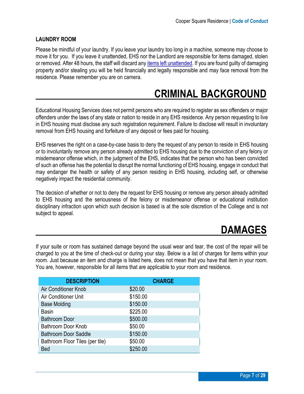#### **LAUNDRY ROOM**

Please be mindful of your laundry. If you leave your laundry too long in a machine, someone may choose to move it for you. If you leave it unattended, EHS nor the Landlord are responsible for items damaged, stolen or removed. After 48 hours, the staff will discard an[y items left unattended.](#page-4-4) If you are found guilty of damaging property and/or stealing you will be held financially and legally responsible and may face removal from the residence. Please remember you are on camera.

### <span id="page-6-0"></span> **CRIMINAL BACKGROUND**

Educational Housing Services does not permit persons who are required to register as sex offenders or major offenders under the laws of any state or nation to reside in any EHS residence. Any person requesting to live in EHS housing must disclose any such registration requirement. Failure to disclose will result in involuntary removal from EHS housing and forfeiture of any deposit or fees paid for housing.

EHS reserves the right on a case-by-case basis to deny the request of any person to reside in EHS housing or to involuntarily remove any person already admitted to EHS housing due to the conviction of any felony or misdemeanor offense which, in the judgment of the EHS, indicates that the person who has been convicted of such an offense has the potential to disrupt the normal functioning of EHS housing, engage in conduct that may endanger the health or safety of any person residing in EHS housing, including self, or otherwise negatively impact the residential community.

The decision of whether or not to deny the request for EHS housing or remove any person already admitted to EHS housing and the seriousness of the felony or misdemeanor offense or educational institution disciplinary infraction upon which such decision is based is at the sole discretion of the College and is not subject to appeal.

### <span id="page-6-1"></span> **DAMAGES**

If your suite or room has sustained damage beyond the usual wear and tear, the cost of the repair will be charged to you at the time of check-out or during your stay. Below is a list of charges for items within your room. Just because an item and charge is listed here, does not mean that you have that item in your room. You are, however, responsible for all items that are applicable to your room and residence.

| <b>DESCRIPTION</b>              | <b>CHARGE</b> |
|---------------------------------|---------------|
| Air Conditioner Knob            | \$20.00       |
| Air Conditioner Unit            | \$150.00      |
| <b>Base Molding</b>             | \$150.00      |
| <b>Basin</b>                    | \$225.00      |
| <b>Bathroom Door</b>            | \$500.00      |
| Bathroom Door Knob              | \$50.00       |
| <b>Bathroom Door Saddle</b>     | \$150.00      |
| Bathroom Floor Tiles (per tile) | \$50.00       |
| Bed                             | \$250.00      |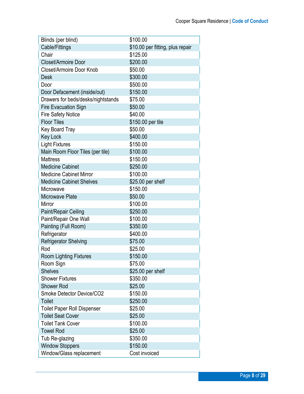| Blinds (per blind)                 | \$100.00                         |
|------------------------------------|----------------------------------|
| Cable/Fittings                     | \$10.00 per fitting, plus repair |
| Chair                              | \$125.00                         |
| Closet/Armoire Door                | \$200.00                         |
| Closet/Armoire Door Knob           | \$50.00                          |
| <b>Desk</b>                        | \$300.00                         |
| Door                               | \$500.00                         |
| Door Defacement (inside/out)       | \$150.00                         |
| Drawers for beds/desks/nightstands | \$75.00                          |
| <b>Fire Evacuation Sign</b>        | \$50.00                          |
| <b>Fire Safety Notice</b>          | \$40.00                          |
| <b>Floor Tiles</b>                 | \$150.00 per tile                |
| <b>Key Board Tray</b>              | \$50.00                          |
| <b>Key Lock</b>                    | \$400.00                         |
| <b>Light Fixtures</b>              | \$150.00                         |
| Main Room Floor Tiles (per tile)   | \$100.00                         |
| <b>Mattress</b>                    | \$150.00                         |
| <b>Medicine Cabinet</b>            | \$250.00                         |
| <b>Medicine Cabinet Mirror</b>     | \$100.00                         |
| <b>Medicine Cabinet Shelves</b>    | \$25.00 per shelf                |
| Microwave                          | \$150.00                         |
| Microwave Plate                    | \$50.00                          |
| Mirror                             | \$100.00                         |
| Paint/Repair Ceiling               | \$250.00                         |
| Paint/Repair One Wall              | \$100.00                         |
| Painting (Full Room)               | \$350.00                         |
| Refrigerator                       | \$400.00                         |
| <b>Refrigerator Shelving</b>       | \$75.00                          |
| Rod                                | \$25.00                          |
| <b>Room Lighting Fixtures</b>      | \$150.00                         |
| Room Sign                          | \$75.00                          |
| <b>Shelves</b>                     | \$25.00 per shelf                |
| <b>Shower Fixtures</b>             | \$350.00                         |
| <b>Shower Rod</b>                  | \$25.00                          |
| Smoke Detector Device/CO2          | \$150.00                         |
| <b>Toilet</b>                      | \$250.00                         |
| <b>Toilet Paper Roll Dispenser</b> | \$25.00                          |
| <b>Toilet Seat Cover</b>           | \$25.00                          |
| <b>Toilet Tank Cover</b>           | \$100.00                         |
| <b>Towel Rod</b>                   | \$25.00                          |
| Tub Re-glazing                     | \$350.00                         |
| <b>Window Stoppers</b>             | \$150.00                         |
| Window/Glass replacement           | Cost invoiced                    |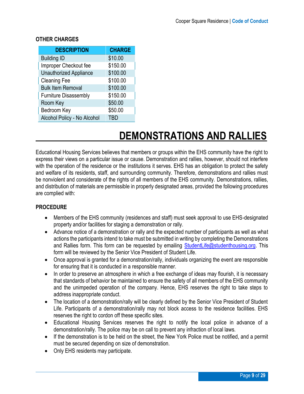| <b>DESCRIPTION</b>            | <b>CHARGE</b> |
|-------------------------------|---------------|
| <b>Building ID</b>            | \$10.00       |
| Improper Checkout fee         | \$150.00      |
| <b>Unauthorized Appliance</b> | \$100.00      |
| <b>Cleaning Fee</b>           | \$100.00      |
| <b>Bulk Item Removal</b>      | \$100.00      |
| <b>Furniture Disassembly</b>  | \$150.00      |
| Room Key                      | \$50.00       |
| Bedroom Key                   | \$50.00       |
| Alcohol Policy - No Alcohol   | TBD           |

#### <span id="page-8-0"></span>**OTHER CHARGES**

### <span id="page-8-1"></span> **DEMONSTRATIONS AND RALLIES**

Educational Housing Services believes that members or groups within the EHS community have the right to express their views on a particular issue or cause. Demonstration and rallies, however, should not interfere with the operation of the residence or the institutions it serves. EHS has an obligation to protect the safety and welfare of its residents, staff, and surrounding community. Therefore, demonstrations and rallies must be nonviolent and considerate of the rights of all members of the EHS community. Demonstrations, rallies, and distribution of materials are permissible in properly designated areas, provided the following procedures are complied with:

#### <span id="page-8-2"></span>**PROCEDURE**

- Members of the EHS community (residences and staff) must seek approval to use EHS-designated property and/or facilities for staging a demonstration or rally.
- Advance notice of a demonstration or rally and the expected number of participants as well as what actions the participants intend to take must be submitted in writing by completing the Demonstrations and Rallies form. This form can be requested by emailing [StudentLife@studenthousing.org.](mailto:StudentLife@studenthousing.org) This form will be reviewed by the Senior Vice President of Student Life.
- Once approval is granted for a demonstration/rally, individuals organizing the event are responsible for ensuring that it is conducted in a responsible manner.
- In order to preserve an atmosphere in which a free exchange of ideas may flourish, it is necessary that standards of behavior be maintained to ensure the safety of all members of the EHS community and the unimpeded operation of the company. Hence, EHS reserves the right to take steps to address inappropriate conduct.
- The location of a demonstration/rally will be clearly defined by the Senior Vice President of Student Life. Participants of a demonstration/rally may not block access to the residence facilities. EHS reserves the right to cordon off these specific sites.
- Educational Housing Services reserves the right to notify the local police in advance of a demonstration/rally. The police may be on call to prevent any infraction of local laws.
- If the demonstration is to be held on the street, the New York Police must be notified, and a permit must be secured depending on size of demonstration.
- Only EHS residents may participate.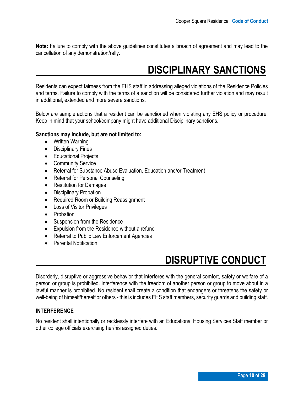<span id="page-9-3"></span>**Note:** Failure to comply with the above guidelines constitutes a breach of agreement and may lead to the cancellation of any demonstration/rally.

### <span id="page-9-0"></span> **DISCIPLINARY SANCTIONS**

Residents can expect fairness from the EHS staff in addressing alleged violations of the Residence Policies and terms. Failure to comply with the terms of a sanction will be considered further violation and may result in additional, extended and more severe sanctions.

Below are sample actions that a resident can be sanctioned when violating any EHS policy or procedure. Keep in mind that your school/company might have additional Disciplinary sanctions.

#### **Sanctions may include, but are not limited to:**

- Written Warning
- Disciplinary Fines
- Educational Projects
- Community Service
- Referral for Substance Abuse Evaluation, Education and/or Treatment
- Referral for Personal Counseling
- Restitution for Damages
- Disciplinary Probation
- Required Room or Building Reassignment
- Loss of Visitor Privileges
- Probation
- Suspension from the Residence
- Expulsion from the Residence without a refund
- Referral to Public Law Enforcement Agencies
- Parental Notification

### <span id="page-9-1"></span> **DISRUPTIVE CONDUCT**

Disorderly, disruptive or aggressive behavior that interferes with the general comfort, safety or welfare of a person or group is prohibited. Interference with the freedom of another person or group to move about in a lawful manner is prohibited. No resident shall create a condition that endangers or threatens the safety or well-being of himself/herself or others - this is includes EHS staff members, security guards and building staff.

#### <span id="page-9-2"></span>**INTERFERENCE**

No resident shall intentionally or recklessly interfere with an Educational Housing Services Staff member or other college officials exercising her/his assigned duties.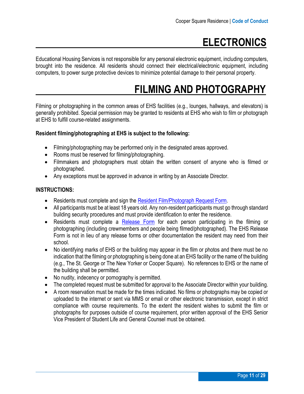### <span id="page-10-0"></span> **ELECTRONICS**

Educational Housing Services is not responsible for any personal electronic equipment, including computers, brought into the residence. All residents should connect their electrical/electronic equipment, including computers, to power surge protective devices to minimize potential damage to their personal property.

### <span id="page-10-1"></span> **FILMING AND PHOTOGRAPHY**

Filming or photographing in the common areas of EHS facilities (e.g., lounges, hallways, and elevators) is generally prohibited. Special permission may be granted to residents at EHS who wish to film or photograph at EHS to fulfill course-related assignments.

#### **Resident filming/photographing at EHS is subject to the following:**

- Filming/photographing may be performed only in the designated areas approved.
- Rooms must be reserved for filming/photographing.
- Filmmakers and photographers must obtain the written consent of anyone who is filmed or photographed.
- Any exceptions must be approved in advance in writing by an Associate Director.

#### <span id="page-10-2"></span>**INSTRUCTIONS:**

- Residents must complete and sign the [Resident Film/Photograph](https://assets.ctfassets.net/vne2flhojsyj/7cev8JkwdHMOIghtsBzMWR/e81b2cc1f0b91d1f13985d41f737a116/Filming_Request_Form.pdf) Request Form.
- All participants must be at least 18 years old. Any non-resident participants must go through standard building security procedures and must provide identification to enter the residence.
- Residents must complete a [Release](https://assets.ctfassets.net/vne2flhojsyj/7cev8JkwdHMOIghtsBzMWR/e81b2cc1f0b91d1f13985d41f737a116/Filming_Request_Form.pdf) Form for each person participating in the filming or photographing (including crewmembers and people being filmed/photographed). The EHS Release Form is not in lieu of any release forms or other documentation the resident may need from their school.
- No identifying marks of EHS or the building may appear in the film or photos and there must be no indication that the filming or photographing is being done at an EHS facility or the name of the building (e.g., The St. George or The New Yorker or Cooper Square). No references to EHS or the name of the building shall be permitted.
- No nudity, indecency or pornography is permitted.
- The completed request must be submitted for approval to the Associate Director within your building.
- A room reservation must be made for the times indicated. No films or photographs may be copied or uploaded to the internet or sent via MMS or email or other electronic transmission, except in strict compliance with course requirements. To the extent the resident wishes to submit the film or photographs for purposes outside of course requirement, prior written approval of the EHS Senior Vice President of Student Life and General Counsel must be obtained.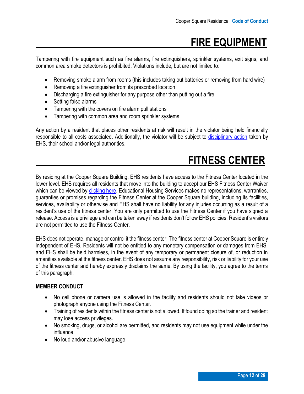### <span id="page-11-0"></span> **FIRE EQUIPMENT**

Tampering with fire equipment such as fire alarms, fire extinguishers, sprinkler systems, exit signs, and common area smoke detectors is prohibited. Violations include, but are not limited to:

- Removing smoke alarm from rooms (this includes taking out batteries or removing from hard wire)
- Removing a fire extinguisher from its prescribed location
- Discharging a fire extinguisher for any purpose other than putting out a fire
- Setting false alarms
- Tampering with the covers on fire alarm pull stations
- Tampering with common area and room sprinkler systems

Any action by a resident that places other residents at risk will result in the violator being held financially responsible to all costs associated. Additionally, the violator will be subject to [disciplinary action](#page-9-3) taken by EHS, their school and/or legal authorities.

### <span id="page-11-1"></span> **FITNESS CENTER**

By residing at the Cooper Square Building, EHS residents have access to the Fitness Center located in the lower level. EHS requires all residents that move into the building to accept our EHS Fitness Center Waiver which can be viewed by [clicking here.](https://assets.ctfassets.net/vne2flhojsyj/2Ajr3RbAkP2hbK3kUMyimR/eb6d5b23e4471ca0e31b2c9f1f9562b3/CQ_Fitness_Center_Waiver.pdf) Educational Housing Services makes no representations, warranties, guaranties or promises regarding the Fitness Center at the Cooper Square building, including its facilities, services, availability or otherwise and EHS shall have no liability for any injuries occurring as a result of a resident's use of the fitness center. You are only permitted to use the Fitness Center if you have signed a release. Access is a privilege and can be taken away if residents don't follow EHS policies. Resident's visitors are not permitted to use the Fitness Center.

EHS does not operate, manage or control it the fitness center. The fitness center at Cooper Square is entirely independent of EHS. Residents will not be entitled to any monetary compensation or damages from EHS, and EHS shall be held harmless, in the event of any temporary or permanent closure of, or reduction in amenities available at the fitness center. EHS does not assume any responsibility, risk or liability for your use of the fitness center and hereby expressly disclaims the same. By using the facility, you agree to the terms of this paragraph.

#### <span id="page-11-2"></span>**MEMBER CONDUCT**

- No cell phone or camera use is allowed in the facility and residents should not take videos or photograph anyone using the Fitness Center.
- Training of residents within the fitness center is not allowed. If found doing so the trainer and resident may lose access privileges.
- No smoking, drugs, or alcohol are permitted, and residents may not use equipment while under the influence.
- No loud and/or abusive language.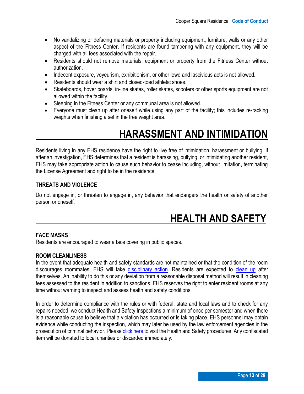- No vandalizing or defacing materials or property including equipment, furniture, walls or any other aspect of the Fitness Center. If residents are found tampering with any equipment, they will be charged with all fees associated with the repair.
- Residents should not remove materials, equipment or property from the Fitness Center without authorization.
- Indecent exposure, voyeurism, exhibitionism, or other lewd and lascivious acts is not allowed.
- Residents should wear a shirt and closed-toed athletic shoes.
- Skateboards, hover boards, in-line skates, roller skates, scooters or other sports equipment are not allowed within the facility.
- Sleeping in the Fitness Center or any communal area is not allowed.
- Everyone must clean up after oneself while using any part of the facility; this includes re-racking weights when finishing a set in the free weight area.

### <span id="page-12-0"></span> **HARASSMENT AND INTIMIDATION**

Residents living in any EHS residence have the right to live free of intimidation, harassment or bullying. If after an investigation, EHS determines that a resident is harassing, bullying, or intimidating another resident, EHS may take appropriate action to cause such behavior to cease including, without limitation, terminating the License Agreement and right to be in the residence.

#### <span id="page-12-1"></span>**THREATS AND VIOLENCE**

<span id="page-12-3"></span>Do not engage in, or threaten to engage in, any behavior that endangers the health or safety of another person or oneself.

### <span id="page-12-2"></span> **HEALTH AND SAFETY**

#### **FACE MASKS**

Residents are encouraged to wear a face covering in public spaces.

#### **ROOM CLEANLINESS**

In the event that adequate health and safety standards are not maintained or that the condition of the room discourages roommates, EHS will take [disciplinary action.](#page-9-3) Residents are expected to [clean up](http://s3.amazonaws.com/ehs-website-production/assets/assets/original/CQLiving.pdf) after themselves. An inability to do this or any deviation from a reasonable disposal method will result in cleaning fees assessed to the resident in addition to sanctions. EHS reserves the right to enter resident rooms at any time without warning to inspect and assess health and safety conditions.

In order to determine compliance with the rules or with federal, state and local laws and to check for any repairs needed, we conduct Health and Safety Inspections a minimum of once per semester and when there is a reasonable cause to believe that a violation has occurred or is taking place. EHS personnel may obtain evidence while conducting the inspection, which may later be used by the law enforcement agencies in the prosecution of criminal behavior. Please [click here](http://s3.amazonaws.com/ehs-website-production/assets/assets/original/CQLiving.pdf) to visit the Health and Safety procedures. Any confiscated item will be donated to local charities or discarded immediately.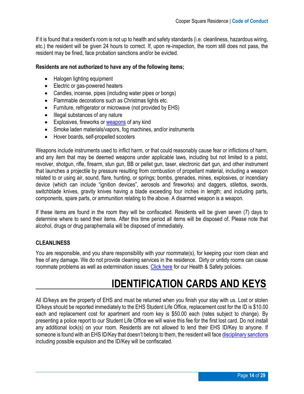If it is found that a resident's room is not up to health and safety standards (i.e. cleanliness, hazardous wiring, etc.) the resident will be given 24 hours to correct. If, upon re-inspection, the room still does not pass, the resident may be fined, face probation sanctions and/or be evicted.

#### **Residents are not authorized to have any of the following items;**

- Halogen lighting equipment
- Electric or gas-powered heaters
- Candles, incense, pipes (including water pipes or bongs)
- Flammable decorations such as Christmas lights etc.
- Furniture, refrigerator or microwave (not provided by EHS)
- Illegal substances of any nature
- Explosives, fireworks or [weapons](#page-19-2) of any kind
- Smoke laden materials/vapors, fog machines, and/or instruments
- Hover boards, self-propelled scooters

Weapons include instruments used to inflict harm, or that could reasonably cause fear or inflictions of harm, and any item that may be deemed weapons under applicable laws, including but not limited to a pistol, revolver, shotgun, rifle, firearm, stun gun, BB or pellet gun, taser, electronic dart gun, and other instrument that launches a projectile by pressure resulting from combustion of propellant material, including a weapon related to or using air, sound, flare, hunting, or springs; bombs, grenades, mines, explosives, or incendiary device (which can include "ignition devices", aerosols and fireworks) and daggers, stilettos, swords, switchblade knives, gravity knives having a blade exceeding four inches in length; and including parts, components, spare parts, or ammunition relating to the above. A disarmed weapon is a weapon.

If these items are found in the room they will be confiscated. Residents will be given seven (7) days to determine where to send their items. After this time period all items will be disposed of. Please note that alcohol, drugs or drug paraphernalia will be disposed of immediately.

#### <span id="page-13-0"></span>**CLEANLINESS**

You are responsible, and you share responsibility with your roommate(s), for keeping your room clean and free of any damage. We do not provide cleaning services in the residence. Dirty or untidy rooms can cause roommate problems as well as extermination issues. [Click here](#page-12-3) for our Health & Safety policies.

### <span id="page-13-1"></span> **IDENTIFICATION CARDS AND KEYS**

All ID/keys are the property of EHS and must be returned when you finish your stay with us. Lost or stolen ID/keys should be reported immediately to the EHS Student Life Office, replacement cost for the ID is \$10.00 each and replacement cost for apartment and room key is \$50.00 each (rates subject to change). By presenting a police report to our Student Life Office we will waive this fee for the first lost card. Do not install any additional lock(s) on your room. Residents are not allowed to lend their EHS ID/Key to anyone. If someone is found with an EHS ID/Key that doesn't belong to them, the resident will fac[e disciplinary sanctions](#page-9-3) including possible expulsion and the ID/Key will be confiscated.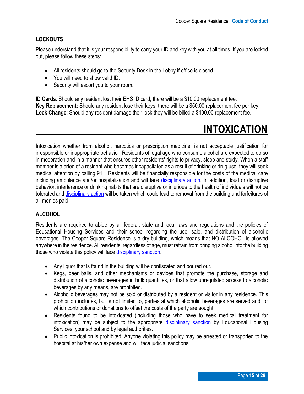#### <span id="page-14-0"></span>**LOCKOUTS**

Please understand that it is your responsibility to carry your ID and key with you at all times. If you are locked out, please follow these steps:

- All residents should go to the Security Desk in the Lobby if office is closed.
- You will need to show valid ID.
- Security will escort you to your room.

**ID Cards**: Should any resident lost their EHS ID card, there will be a \$10.00 replacement fee. **Key Replacement:** Should any resident lose their keys, there will be a \$50.00 replacement fee per key. **Lock Change**: Should any resident damage their lock they will be billed a \$400.00 replacement fee.

### <span id="page-14-1"></span> **INTOXICATION**

Intoxication whether from alcohol, narcotics or prescription medicine, is not acceptable justification for irresponsible or inappropriate behavior. Residents of legal age who consume alcohol are expected to do so in moderation and in a manner that ensures other residents' rights to privacy, sleep and study. When a staff member is alerted of a resident who becomes incapacitated as a result of drinking or drug use, they will seek medical attention by calling 911. Residents will be financially responsible for the costs of the medical care including ambulance and/or hospitalization and will face [disciplinary action.](#page-9-3) In addition, loud or disruptive behavior, interference or drinking habits that are disruptive or injurious to the health of individuals will not be tolerated and [disciplinary action](#page-9-3) will be taken which could lead to removal from the building and forfeitures of all monies paid.

#### <span id="page-14-2"></span>**ALCOHOL**

Residents are required to abide by all federal, state and local laws and regulations and the policies of Educational Housing Services and their school regarding the use, sale, and distribution of alcoholic beverages. The Cooper Square Residence is a dry building, which means that NO ALCOHOL is allowed anywhere in the residence. All residents, regardless of age, must refrain from bringing alcohol into the building those who violate this policy will face [disciplinary sanction.](#page-9-3)

- Any liquor that is found in the building will be confiscated and poured out.
- Kegs, beer balls, and other mechanisms or devices that promote the purchase, storage and distribution of alcoholic beverages in bulk quantities, or that allow unregulated access to alcoholic beverages by any means, are prohibited.
- Alcoholic beverages may not be sold or distributed by a resident or visitor in any residence. This prohibition includes, but is not limited to, parties at which alcoholic beverages are served and for which contributions or donations to offset the costs of the party are sought.
- Residents found to be intoxicated (including those who have to seek medical treatment for intoxication) may be subject to the appropriate [disciplinary sanction](#page-9-3) by Educational Housing Services, your school and by legal authorities.
- Public intoxication is prohibited. Anyone violating this policy may be arrested or transported to the hospital at his/her own expense and will face judicial sanctions.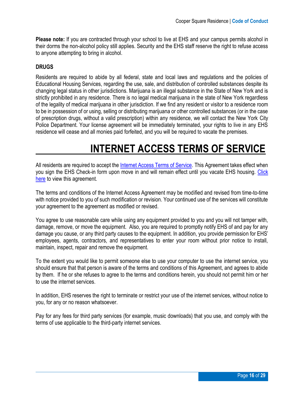**Please note:** If you are contracted through your school to live at EHS and your campus permits alcohol in their dorms the non-alcohol policy still applies. Security and the EHS staff reserve the right to refuse access to anyone attempting to bring in alcohol.

#### <span id="page-15-0"></span>**DRUGS**

Residents are required to abide by all federal, state and local laws and regulations and the policies of Educational Housing Services, regarding the use, sale, and distribution of controlled substances despite its changing legal status in other jurisdictions. Marijuana is an illegal substance in the State of New York and is strictly prohibited in any residence. There is no legal medical marijuana in the state of New York regardless of the legality of medical marijuana in other jurisdiction. If we find any resident or visitor to a residence room to be in possession of or using, selling or distributing marijuana or other controlled substances (or in the case of prescription drugs, without a valid prescription) within any residence, we will contact the New York City Police Department. Your license agreement will be immediately terminated, your rights to live in any EHS residence will cease and all monies paid forfeited, and you will be required to vacate the premises.

### <span id="page-15-1"></span> **INTERNET ACCESS TERMS OF SERVICE**

All residents are required to accept the [Internet Access Terms of Service.](http://www.mmm.edu/offices/information-technology/network-use-online-policy.php) This Agreement takes effect when you sign the EHS Check-in form upon move in and will remain effect until you vacate EHS housing. [Click](http://www.mmm.edu/offices/information-technology/network-use-online-policy.php)  [here](http://www.mmm.edu/offices/information-technology/network-use-online-policy.php) to view this agreement.

The terms and conditions of the Internet Access Agreement may be modified and revised from time-to-time with notice provided to you of such modification or revision. Your continued use of the services will constitute your agreement to the agreement as modified or revised.

You agree to use reasonable care while using any equipment provided to you and you will not tamper with, damage, remove, or move the equipment. Also, you are required to promptly notify EHS of and pay for any damage you cause, or any third party causes to the equipment. In addition, you provide permission for EHS' employees, agents, contractors, and representatives to enter your room without prior notice to install, maintain, inspect, repair and remove the equipment.

To the extent you would like to permit someone else to use your computer to use the internet service, you should ensure that that person is aware of the terms and conditions of this Agreement, and agrees to abide by them. If he or she refuses to agree to the terms and conditions herein, you should not permit him or her to use the internet services.

In addition, EHS reserves the right to terminate or restrict your use of the internet services, without notice to you, for any or no reason whatsoever.

Pay for any fees for third party services (for example, music downloads) that you use, and comply with the terms of use applicable to the third-party internet services.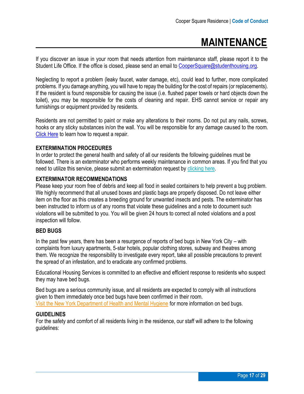### <span id="page-16-0"></span> **MAINTENANCE**

If you discover an issue in your room that needs attention from maintenance staff, please report it to the Student Life Office. If the office is closed, please send an email to [CooperSquare@studenthousing.org.](mailto:CooperSquare@studenthousing.org)

Neglecting to report a problem (leaky faucet, water damage, etc), could lead to further, more complicated problems. If you damage anything, you will have to repay the building for the cost of repairs (or replacements). If the resident is found responsible for causing the issue (i.e. flushed paper towels or hard objects down the toilet), you may be responsible for the costs of cleaning and repair. EHS cannot service or repair any furnishings or equipment provided by residents.

Residents are not permitted to paint or make any alterations to their rooms. Do not put any nails, screws, hooks or any sticky substances in/on the wall. You will be responsible for any damage caused to the room. [Click Here](https://www.studenthousing.org/student-life/cooper-square/maintenance-and-repairs) to learn how to request a repair.

#### **EXTERMINATION PROCEDURES**

In order to protect the general health and safety of all our residents the following guidelines must be followed. There is an exterminator who performs weekly maintenance in common areas. If you find that you need to utilize this service, please submit an extermination request by [clicking here.](http://www.studenthousing.org/repairs)

#### **EXTERMINATOR RECOMMENDATIONS**

Please keep your room free of debris and keep all food in sealed containers to help prevent a bug problem. We highly recommend that all unused boxes and plastic bags are properly disposed. Do not leave either item on the floor as this creates a breeding ground for unwanted insects and pests. The exterminator has been instructed to inform us of any rooms that violate these guidelines and a note to document such violations will be submitted to you. You will be given 24 hours to correct all noted violations and a post inspection will follow.

#### **BED BUGS**

In the past few years, there has been a resurgence of reports of bed bugs in New York City – with complaints from luxury apartments, 5-star hotels, popular clothing stores, subway and theatres among them. We recognize the responsibility to investigate every report, take all possible precautions to prevent the spread of an infestation, and to eradicate any confirmed problems.

Educational Housing Services is committed to an effective and efficient response to residents who suspect they may have bed bugs.

Bed bugs are a serious community issue, and all residents are expected to comply with all instructions given to them immediately once bed bugs have been confirmed in their room. [Visit the New York Department of Health and Mental Hygiene](https://www1.nyc.gov/site/doh/health/health-topics/bedbugs.page) for more information on bed bugs.

#### **GUIDELINES**

For the safety and comfort of all residents living in the residence, our staff will adhere to the following guidelines: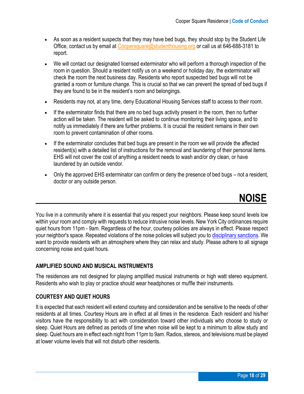- As soon as a resident suspects that they may have bed bugs, they should stop by the Student Life Office, contact us by email at [Coopersquare@studenthousing.org](mailto:Coopersquare@studenthousing.org) or call us at 646-688-3181 to report.
- We will contact our designated licensed exterminator who will perform a thorough inspection of the room in question. Should a resident notify us on a weekend or holiday day, the exterminator will check the room the next business day. Residents who report suspected bed bugs will not be granted a room or furniture change. This is crucial so that we can prevent the spread of bed bugs if they are found to be in the resident's room and belongings.
- Residents may not, at any time, deny Educational Housing Services staff to access to their room.
- If the exterminator finds that there are no bed bugs activity present in the room, then no further action will be taken. The resident will be asked to continue monitoring their living space, and to notify us immediately if there are further problems. It is crucial the resident remains in their own room to prevent contamination of other rooms.
- If the exterminator concludes that bed bugs are present in the room we will provide the affected resident(s) with a detailed list of instructions for the removal and laundering of their personal items. EHS will not cover the cost of anything a resident needs to wash and/or dry clean, or have laundered by an outside vendor.
- Only the approved EHS exterminator can confirm or deny the presence of bed bugs not a resident, doctor or any outside person.

<span id="page-17-0"></span> **NOISE**

You live in a community where it is essential that you respect your neighbors. Please keep sound levels low within your room and comply with requests to reduce intrusive noise levels. New York City ordinances require quiet hours from 11pm - 9am. Regardless of the hour, courtesy policies are always in effect. Please respect your neighbor's space. Repeated violations of the noise policies will subject you to [disciplinary sanctions.](#page-9-3) We want to provide residents with an atmosphere where they can relax and study. Please adhere to all signage concerning noise and quiet hours.

#### <span id="page-17-1"></span>**AMPLIFIED SOUND AND MUSICAL INSTRUMENTS**

The residences are not designed for playing amplified musical instruments or high watt stereo equipment. Residents who wish to play or practice should wear headphones or muffle their instruments.

#### <span id="page-17-2"></span>**COURTESY AND QUIET HOURS**

It is expected that each resident will extend courtesy and consideration and be sensitive to the needs of other residents at all times. Courtesy Hours are in effect at all times in the residence. Each resident and his/her visitors have the responsibility to act with consideration toward other individuals who choose to study or sleep. Quiet Hours are defined as periods of time when noise will be kept to a minimum to allow study and sleep. Quiet hours are in effect each night from 11pm to 9am. Radios, stereos, and televisions must be played at lower volume levels that will not disturb other residents.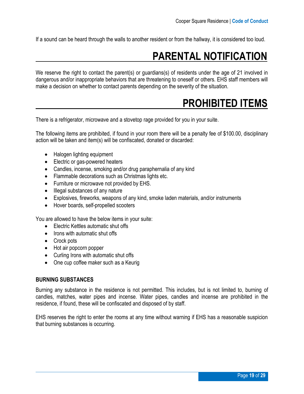If a sound can be heard through the walls to another resident or from the hallway, it is considered too loud.

### <span id="page-18-0"></span> **PARENTAL NOTIFICATION**

We reserve the right to contact the parent(s) or guardians(s) of residents under the age of 21 involved in dangerous and/or inappropriate behaviors that are threatening to oneself or others. EHS staff members will make a decision on whether to contact parents depending on the severity of the situation.

### <span id="page-18-1"></span> **PROHIBITED ITEMS**

There is a refrigerator, microwave and a stovetop rage provided for you in your suite.

The following items are prohibited, if found in your room there will be a penalty fee of \$100.00, disciplinary action will be taken and item(s) will be confiscated, donated or discarded:

- Halogen lighting equipment
- Electric or gas-powered heaters
- Candles, incense, smoking and/or drug paraphernalia of any kind
- Flammable decorations such as Christmas lights etc.
- Furniture or microwave not provided by EHS.
- Illegal substances of any nature
- Explosives, fireworks, weapons of any kind, smoke laden materials, and/or instruments
- Hover boards, self-propelled scooters

You are allowed to have the below items in your suite:

- Electric Kettles automatic shut offs
- Irons with automatic shut offs
- Crock pots
- Hot air popcorn popper
- Curling Irons with automatic shut offs
- One cup coffee maker such as a Keurig

#### <span id="page-18-2"></span>**BURNING SUBSTANCES**

Burning any substance in the residence is not permitted. This includes, but is not limited to, burning of candles, matches, water pipes and incense. Water pipes, candles and incense are prohibited in the residence, if found, these will be confiscated and disposed of by staff.

EHS reserves the right to enter the rooms at any time without warning if EHS has a reasonable suspicion that burning substances is occurring.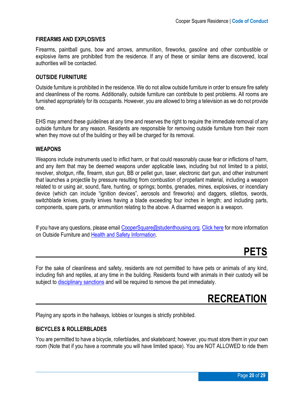#### <span id="page-19-0"></span>**FIREARMS AND EXPLOSIVES**

Firearms, paintball guns, bow and arrows, ammunition, fireworks, gasoline and other combustible or explosive items are prohibited from the residence. If any of these or similar items are discovered, local authorities will be contacted.

#### <span id="page-19-1"></span>**OUTSIDE FURNITURE**

Outside furniture is prohibited in the residence. We do not allow outside furniture in order to ensure fire safety and cleanliness of the rooms. Additionally, outside furniture can contribute to pest problems. All rooms are furnished appropriately for its occupants. However, you are allowed to bring a television as we do not provide one.

EHS may amend these guidelines at any time and reserves the right to require the immediate removal of any outside furniture for any reason. Residents are responsible for removing outside furniture from their room when they move out of the building or they will be charged for its removal.

#### <span id="page-19-2"></span>**WEAPONS**

Weapons include instruments used to inflict harm, or that could reasonably cause fear or inflictions of harm, and any item that may be deemed weapons under applicable laws, including but not limited to a pistol, revolver, shotgun, rifle, firearm, stun gun, BB or pellet gun, taser, electronic dart gun, and other instrument that launches a projectile by pressure resulting from combustion of propellant material, including a weapon related to or using air, sound, flare, hunting, or springs; bombs, grenades, mines, explosives, or incendiary device (which can include "ignition devices", aerosols and fireworks) and daggers, stilettos, swords, switchblade knives, gravity knives having a blade exceeding four inches in length; and including parts, components, spare parts, or ammunition relating to the above. A disarmed weapon is a weapon.

If you have any questions, please email [CooperSquare@studenthousing.org.](mailto:CooperSquare@studenthousing.org) [Click here](http://s3.amazonaws.com/ehs-website-production/assets/assets/original/CQLiving.pdf) for more information on Outside Furniture and [Health and Safety Information](http://s3.amazonaws.com/ehs-website-production/assets/assets/original/CQLiving.pdf).

### <span id="page-19-3"></span> **PETS**

For the sake of cleanliness and safety, residents are not permitted to have pets or animals of any kind, including fish and reptiles, at any time in the building. Residents found with animals in their custody will be subject to [disciplinary sanctions](#page-9-3) and will be required to remove the pet immediately.

### <span id="page-19-4"></span> **RECREATION**

Playing any sports in the hallways, lobbies or lounges is strictly prohibited.

#### <span id="page-19-5"></span>**BICYCLES & ROLLERBLADES**

You are permitted to have a bicycle, rollerblades, and skateboard; however, you must store them in your own room (Note that if you have a roommate you will have limited space). You are NOT ALLOWED to ride them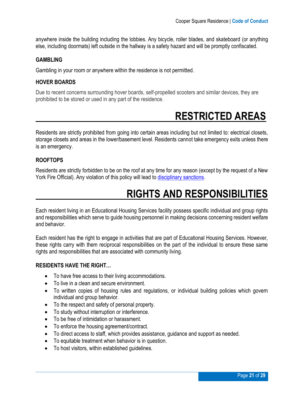anywhere inside the building including the lobbies. Any bicycle, roller blades, and skateboard (or anything else, including doormats) left outside in the hallway is a safety hazard and will be promptly confiscated.

#### <span id="page-20-0"></span>**GAMBLING**

Gambling in your room or anywhere within the residence is not permitted.

#### <span id="page-20-1"></span>**HOVER BOARDS**

Due to recent concerns surrounding hover boards, self-propelled scooters and similar devices, they are prohibited to be stored or used in any part of the residence.

### <span id="page-20-2"></span> **RESTRICTED AREAS**

Residents are strictly prohibited from going into certain areas including but not limited to: electrical closets, storage closets and areas in the lower/basement level. Residents cannot take emergency exits unless there is an emergency.

#### <span id="page-20-3"></span>**ROOFTOPS**

Residents are strictly forbidden to be on the roof at any time for any reason (except by the request of a New York Fire Official). Any violation of this policy will lead to [disciplinary sanctions.](#page-9-3)

### <span id="page-20-4"></span> **RIGHTS AND RESPONSIBILITIES**

Each resident living in an Educational Housing Services facility possess specific individual and group rights and responsibilities which serve to guide housing personnel in making decisions concerning resident welfare and behavior.

Each resident has the right to engage in activities that are part of Educational Housing Services. However, these rights carry with them reciprocal responsibilities on the part of the individual to ensure these same rights and responsibilities that are associated with community living.

#### <span id="page-20-5"></span>**RESIDENTS HAVE THE RIGHT…**

- To have free access to their living accommodations.
- To live in a clean and secure environment.
- To written copies of housing rules and regulations, or individual building policies which govern individual and group behavior.
- To the respect and safety of personal property.
- To study without interruption or interference.
- To be free of intimidation or harassment.
- To enforce the housing agreement/contract.
- To direct access to staff, which provides assistance, guidance and support as needed.
- To equitable treatment when behavior is in question.
- To host visitors, within established guidelines.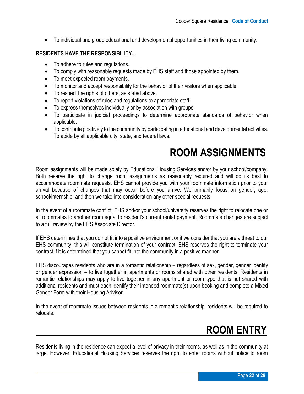• To individual and group educational and developmental opportunities in their living community.

#### <span id="page-21-0"></span>**RESIDENTS HAVE THE RESPONSIBILITY...**

- To adhere to rules and regulations.
- To comply with reasonable requests made by EHS staff and those appointed by them.
- To meet expected room payments.
- To monitor and accept responsibility for the behavior of their visitors when applicable.
- To respect the rights of others, as stated above.
- To report violations of rules and regulations to appropriate staff.
- To express themselves individually or by association with groups.
- To participate in judicial proceedings to determine appropriate standards of behavior when applicable.
- To contribute positively to the community by participating in educational and developmental activities. To abide by all applicable city, state, and federal laws.

### <span id="page-21-1"></span> **ROOM ASSIGNMENTS**

Room assignments will be made solely by Educational Housing Services and/or by your school/company. Both reserve the right to change room assignments as reasonably required and will do its best to accommodate roommate requests. EHS cannot provide you with your roommate information prior to your arrival because of changes that may occur before you arrive. We primarily focus on gender, age, school/internship, and then we take into consideration any other special requests.

In the event of a roommate conflict, EHS and/or your school/university reserves the right to relocate one or all roommates to another room equal to resident's current rental payment. Roommate changes are subject to a full review by the EHS Associate Director.

If EHS determines that you do not fit into a positive environment or if we consider that you are a threat to our EHS community, this will constitute termination of your contract. EHS reserves the right to terminate your contract if it is determined that you cannot fit into the community in a positive manner.

EHS discourages residents who are in a romantic relationship – regardless of sex, gender, gender identity or gender expression – to live together in apartments or rooms shared with other residents. Residents in romantic relationships may apply to live together in any apartment or room type that is not shared with additional residents and must each identify their intended roommate(s) upon booking and complete a Mixed Gender Form with their Housing Advisor.

In the event of roommate issues between residents in a romantic relationship, residents will be required to relocate.

### <span id="page-21-2"></span> **ROOM ENTRY**

Residents living in the residence can expect a level of privacy in their rooms, as well as in the community at large. However, Educational Housing Services reserves the right to enter rooms without notice to room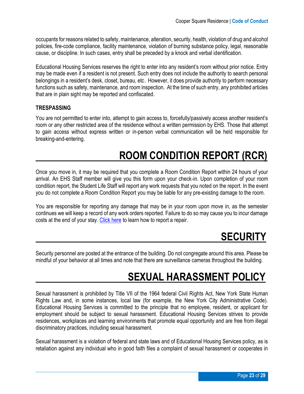occupants for reasons related to safety, maintenance, alteration, security, health, violation of drug and alcohol policies, fire-code compliance, facility maintenance, violation of burning substance policy, legal, reasonable cause, or discipline. In such cases, entry shall be preceded by a knock and verbal identification.

Educational Housing Services reserves the right to enter into any resident's room without prior notice. Entry may be made even if a resident is not present. Such entry does not include the authority to search personal belongings in a resident's desk, closet, bureau, etc. However, it does provide authority to perform necessary functions such as safety, maintenance, and room inspection. At the time of such entry, any prohibited articles that are in plain sight may be reported and confiscated.

#### <span id="page-22-0"></span>**TRESPASSING**

You are not permitted to enter into, attempt to gain access to, forcefully/passively access another resident's room or any other restricted area of the residence without a written permission by EHS. Those that attempt to gain access without express written or in-person verbal communication will be held responsible for breaking-and-entering.

### <span id="page-22-1"></span> **ROOM CONDITION REPORT (RCR)**

Once you move in, it may be required that you complete a Room Condition Report within 24 hours of your arrival. An EHS Staff member will give you this form upon your check-in. Upon completion of your room condition report, the Student Life Staff will report any work requests that you noted on the report. In the event you do not complete a Room Condition Report you may be liable for any pre-existing damage to the room.

You are responsible for reporting any damage that may be in your room upon move in, as the semester continues we will keep a record of any work orders reported. Failure to do so may cause you to incur damage costs at the end of your stay. [Click here](http://s3.amazonaws.com/ehs-website-production/assets/assets/original/CQLiving.pdf) to learn how to report a repair.

### <span id="page-22-2"></span> **SECURITY**

Security personnel are posted at the entrance of the building. Do not congregate around this area. Please be mindful of your behavior at all times and note that there are surveillance cameras throughout the building.

### <span id="page-22-3"></span> **SEXUAL HARASSMENT POLICY**

Sexual harassment is prohibited by Title VII of the 1964 federal Civil Rights Act, New York State Human Rights Law and, in some instances, local law (for example, the New York City Administrative Code). Educational Housing Services is committed to the principle that no employee, resident, or applicant for employment should be subject to sexual harassment. Educational Housing Services strives to provide residences, workplaces and learning environments that promote equal opportunity and are free from illegal discriminatory practices, including sexual harassment.

Sexual harassment is a violation of federal and state laws and of Educational Housing Services policy, as is retaliation against any individual who in good faith files a complaint of sexual harassment or cooperates in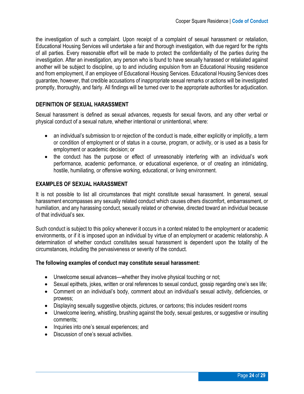the investigation of such a complaint. Upon receipt of a complaint of sexual harassment or retaliation, Educational Housing Services will undertake a fair and thorough investigation, with due regard for the rights of all parties. Every reasonable effort will be made to protect the confidentiality of the parties during the investigation. After an investigation, any person who is found to have sexually harassed or retaliated against another will be subject to discipline, up to and including expulsion from an Educational Housing residence and from employment, if an employee of Educational Housing Services. Educational Housing Services does guarantee, however, that credible accusations of inappropriate sexual remarks or actions will be investigated promptly, thoroughly, and fairly. All findings will be turned over to the appropriate authorities for adjudication.

#### <span id="page-23-0"></span>**DEFINITION OF SEXUAL HARASSMENT**

Sexual harassment is defined as sexual advances, requests for sexual favors, and any other verbal or physical conduct of a sexual nature, whether intentional or unintentional, where:

- an individual's submission to or rejection of the conduct is made, either explicitly or implicitly, a term or condition of employment or of status in a course, program, or activity, or is used as a basis for employment or academic decision; or
- the conduct has the purpose or effect of unreasonably interfering with an individual's work performance, academic performance, or educational experience, or of creating an intimidating, hostile, humiliating, or offensive working, educational, or living environment.

#### <span id="page-23-1"></span>**EXAMPLES OF SEXUAL HARASSMENT**

It is not possible to list all circumstances that might constitute sexual harassment. In general, sexual harassment encompasses any sexually related conduct which causes others discomfort, embarrassment, or humiliation, and any harassing conduct, sexually related or otherwise, directed toward an individual because of that individual's sex.

Such conduct is subject to this policy whenever it occurs in a context related to the employment or academic environments, or if it is imposed upon an individual by virtue of an employment or academic relationship. A determination of whether conduct constitutes sexual harassment is dependent upon the totality of the circumstances, including the pervasiveness or severity of the conduct.

#### **The following examples of conduct may constitute sexual harassment:**

- Unwelcome sexual advances—whether they involve physical touching or not;
- Sexual epithets, jokes, written or oral references to sexual conduct, gossip regarding one's sex life;
- Comment on an individual's body, comment about an individual's sexual activity, deficiencies, or prowess;
- Displaying sexually suggestive objects, pictures, or cartoons; this includes resident rooms
- Unwelcome leering, whistling, brushing against the body, sexual gestures, or suggestive or insulting comments;
- Inquiries into one's sexual experiences; and
- Discussion of one's sexual activities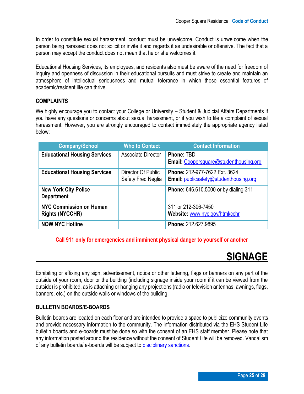In order to constitute sexual harassment, conduct must be unwelcome. Conduct is unwelcome when the person being harassed does not solicit or invite it and regards it as undesirable or offensive. The fact that a person may accept the conduct does not mean that he or she welcomes it.

Educational Housing Services, its employees, and residents also must be aware of the need for freedom of inquiry and openness of discussion in their educational pursuits and must strive to create and maintain an atmosphere of intellectual seriousness and mutual tolerance in which these essential features of academic/resident life can thrive.

#### <span id="page-24-0"></span>**COMPLAINTS**

We highly encourage you to contact your College or University – Student & Judicial Affairs Departments if you have any questions or concerns about sexual harassment, or if you wish to file a complaint of sexual harassment. However, you are strongly encouraged to contact immediately the appropriate agency listed below:

| <b>Company/School</b>                                    | <b>Who to Contact</b>                    | <b>Contact Information</b>                                                            |
|----------------------------------------------------------|------------------------------------------|---------------------------------------------------------------------------------------|
| <b>Educational Housing Services</b>                      | Associate Director                       | Phone: TBD<br>Email: Coopersquare@studenthousing.org                                  |
| <b>Educational Housing Services</b>                      | Director Of Public<br>Safety Fred Neglia | <b>Phone: 212-977-7622 Ext. 3624</b><br><b>Email:</b> publicsafety@studenthousing.org |
| <b>New York City Police</b><br><b>Department</b>         |                                          | <b>Phone:</b> 646.610.5000 or by dialing 311                                          |
| <b>NYC Commission on Human</b><br><b>Rights (NYCCHR)</b> |                                          | 311 or 212-306-7450<br>Website: www.nyc.gov/html/cchr                                 |
| <b>NOW NYC Hotline</b>                                   |                                          | Phone: 212.627.9895                                                                   |

#### **Call 911 only for emergencies and imminent physical danger to yourself or another**

### <span id="page-24-1"></span> **SIGNAGE**

Exhibiting or affixing any sign, advertisement, notice or other lettering, flags or banners on any part of the outside of your room, door or the building (including signage inside your room if it can be viewed from the outside) is prohibited, as is attaching or hanging any projections (radio or television antennas, awnings, flags, banners, etc.) on the outside walls or windows of the building.

#### <span id="page-24-2"></span>**BULLETIN BOARDS/E-BOARDS**

Bulletin boards are located on each floor and are intended to provide a space to publicize community events and provide necessary information to the community. The information distributed via the EHS Student Life bulletin boards and e-boards must be done so with the consent of an EHS staff member. Please note that any information posted around the residence without the consent of Student Life will be removed. Vandalism of any bulletin boards/ e-boards will be subject to [disciplinary sanctions.](#page-9-3)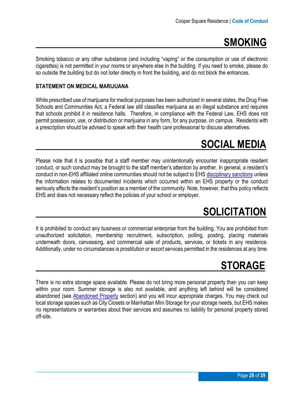### <span id="page-25-0"></span> **SMOKING**

Smoking tobacco or any other substance (and including "vaping" or the consumption or use of electronic cigarettes) is not permitted in your rooms or anywhere else in the building. If you need to smoke, please do so outside the building but do not loiter directly in front the building, and do not block the entrances.

#### **STATEMENT ON MEDICAL MARIJUANA**

While prescribed use of marijuana for medical purposes has been authorized in several states, the Drug Free Schools and Communities Act, a Federal law still classifies marijuana as an illegal substance and requires that schools prohibit it in residence halls. Therefore, in compliance with the Federal Law, EHS does not permit possession, use, or distribution or marijuana in any form, for any purpose, on campus. Residents with a prescription should be advised to speak with their health care professional to discuss alternatives.

### <span id="page-25-1"></span> **SOCIAL MEDIA**

Please note that it is possible that a staff member may unintentionally encounter inappropriate resident conduct, or such conduct may be brought to the staff member's attention by another. In general, a resident's conduct in non-EHS affiliated online communities should not be subject to EHS [disciplinary sanctions](#page-9-3) unless the information relates to documented incidents which occurred within an EHS property or the conduct seriously affects the resident's position as a member of the community. Note, however, that this policy reflects EHS and does not necessary reflect the policies of your school or employer.

### <span id="page-25-2"></span> **SOLICITATION**

It is prohibited to conduct any business or commercial enterprise from the building. You are prohibited from unauthorized solicitation, membership recruitment, subscription, polling, posting, placing materials underneath doors, canvassing, and commercial sale of products, services, or tickets in any residence. Additionally, under no circumstances is prostitution or escort services permitted in the residences at any time.

### <span id="page-25-3"></span> **STORAGE**

There is no extra storage space available. Please do not bring more personal property than you can keep within your room. Summer storage is also not available, and anything left behind will be considered abandoned (see [Abandoned Property](#page-4-4) section) and you will incur appropriate charges. You may check out local storage spaces such as City Closets or Manhattan Mini Storage for your storage needs, but EHS makes no representations or warranties about their services and assumes no liability for personal property stored off-site.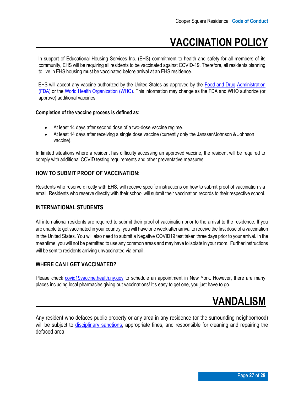### **VACCINATION POLICY**

In support of Educational Housing Services Inc. (EHS) commitment to health and safety for all members of its community, EHS will be requiring all residents to be vaccinated against COVID-19. Therefore, all residents planning to live in EHS housing must be vaccinated before arrival at an EHS residence.

EHS will accept any vaccine authorized by the United States as approved by the [Food and Drug](https://www.fda.gov/emergency-preparedness-and-response/coronavirus-disease-2019-covid-19/covid-19-vaccines) [Administration](https://www.fda.gov/emergency-preparedness-and-response/coronavirus-disease-2019-covid-19/covid-19-vaccines)  [\(FDA\)](https://www.fda.gov/emergency-preparedness-and-response/coronavirus-disease-2019-covid-19/covid-19-vaccines) or the [World Health Organization \(WHO\).](https://www.who.int/news/item/01-06-2021-who-validates-sinovac-covid-19-vaccine-for-emergency-use-and-issues-interim-policy-recommendations) This information may change as the FDA and WHO authorize (or approve) additional vaccines.

#### **Completion of the vaccine process is defined as:**

- At least 14 days after second dose of a two-dose vaccine regime.
- At least 14 days after receiving a single dose vaccine (currently only the Janssen/Johnson & Johnson vaccine).

In limited situations where a resident has difficulty accessing an approved vaccine, the resident will be required to comply with additional COVID testing requirements and other preventative measures.

#### **HOW TO SUBMIT PROOF OF VACCINATION:**

Residents who reserve directly with EHS, will receive specific instructions on how to submit proof of vaccination via email. Residents who reserve directly with their school will submit their vaccination records to their respective school.

#### **INTERNATIONAL STUDENTS**

All international residents are required to submit their proof of vaccination prior to the arrival to the residence. If you are unable to get vaccinated in your country, you will have one week after arrival to receive the first dose of a vaccination in the United States. You will also need to submit a Negative COVID19 test taken three days prior to your arrival. In the meantime, you will not be permitted to use any common areas andmay have to isolate in your room. Further instructions will be sent to residents arriving unvaccinated via email.

#### **WHERE CAN I GET VACCINATED?**

Please c[heck covid19vaccine.health.ny.gov](https://nam12.safelinks.protection.outlook.com/?url=http%3A%2F%2Fcovid19vaccine.health.ny.gov%2F&data=04%7C01%7Crhaynes%40studenthousing.org%7C42ed89dbb11f42bc256a08d922191a44%7Cb7f7f1ac74504329b4e9aaf5e315dead%7C1%7C0%7C637578313657694816%7CUnknown%7CTWFpbGZsb3d8eyJWIjoiMC4wLjAwMDAiLCJQIjoiV2luMzIiLCJBTiI6Ik1haWwiLCJXVCI6Mn0%3D%7C1000&sdata=S4BYB1MvBg8fNCnNWNceDQRCy1Jprr3gEgYfz8V8IKE%3D&reserved=0) to schedule an appointment in New York. However, there are many places including local pharmacies giving out vaccinations! It's easy to get one, you just have to go.

### <span id="page-26-0"></span> **VANDALISM**

<span id="page-26-1"></span>Any resident who defaces public property or any area in any residence (or the surrounding neighborhood) will be subject to [disciplinary sanctions,](#page-9-3) appropriate fines, and responsible for cleaning and repairing the defaced area.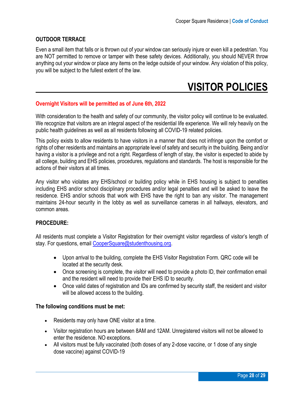#### **OUTDOOR TERRACE**

Even a small item that falls or is thrown out of your window can seriously injure or even kill a pedestrian. You are NOT permitted to remove or tamper with these safety devices. Additionally, you should NEVER throw anything out your window or place any items on the ledge outside of your window. Any violation of this policy, you will be subject to the fullest extent of the law.

### <span id="page-27-0"></span> **VISITOR POLICIES**

#### **Overnight Visitors will be permitted as of June 6th, 2022**

With consideration to the health and safety of our community, the visitor policy will continue to be evaluated. We recognize that visitors are an integral aspect of the residential life experience. We will rely heavily on the public health guidelines as well as all residents following all COVID-19 related policies.

This policy exists to allow residents to have visitors in a manner that does not infringe upon the comfort or rights of other residents and maintains an appropriate level of safety and security in the building. Being and/or having a visitor is a privilege and not a right. Regardless of length of stay, the visitor is expected to abide by all college, building and EHS policies, procedures, regulations and standards. The host is responsible for the actions of their visitors at all times.

Any visitor who violates any EHS/school or building policy while in EHS housing is subject to penalties including EHS and/or school disciplinary procedures and/or legal penalties and will be asked to leave the residence. EHS and/or schools that work with EHS have the right to ban any visitor. The management maintains 24-hour security in the lobby as well as surveillance cameras in all hallways, elevators, and common areas.

#### **PROCEDURE:**

All residents must complete a Visitor Registration for their overnight visitor regardless of visitor's length of stay. For questions, email [CooperSquare@studenthousing.org.](mailto:CooperSquare@studenthousing.org)

- Upon arrival to the building, complete the EHS Visitor Registration Form. QRC code will be located at the security desk.
- Once screening is complete, the visitor will need to provide a photo ID, their confirmation email and the resident will need to provide their EHS ID to security.
- Once valid dates of registration and IDs are confirmed by security staff, the resident and visitor will be allowed access to the building.

#### **The following conditions must be met:**

- Residents may only have ONE visitor at a time.
- Visitor registration hours are between 8AM and 12AM. Unregistered visitors will not be allowed to enter the residence. NO exceptions.
- All visitors must be fully vaccinated (both doses of any 2-dose vaccine, or 1 dose of any single dose vaccine) against COVID-19